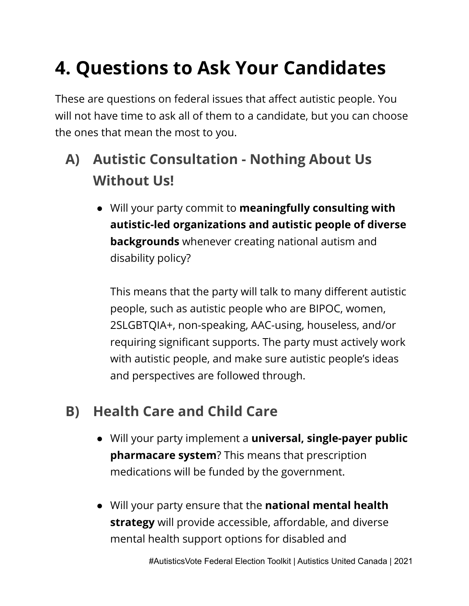# **4. Questions to Ask Your Candidates**

These are questions on federal issues that affect autistic people. You will not have time to ask all of them to a candidate, but you can choose the ones that mean the most to you.

- **A) Autistic Consultation Nothing About Us Without Us!**
	- Will your party commit to **meaningfully consulting with autistic-led organizations and autistic people of diverse backgrounds** whenever creating national autism and disability policy?

This means that the party will talk to many different autistic people, such as autistic people who are BIPOC, women, 2SLGBTQIA+, non-speaking, AAC-using, houseless, and/or requiring significant supports. The party must actively work with autistic people, and make sure autistic people's ideas and perspectives are followed through.

## **B) Health Care and Child Care**

- Will your party implement a **universal, single-payer public pharmacare system**? This means that prescription medications will be funded by the government.
- Will your party ensure that the **national mental health strategy** will provide accessible, affordable, and diverse mental health support options for disabled and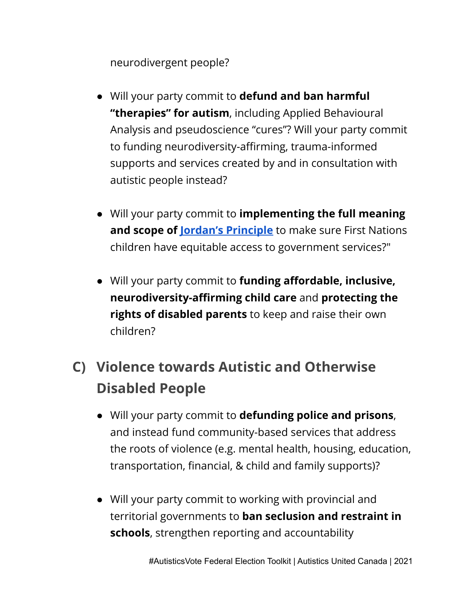neurodivergent people?

- Will your party commit to **defund and ban harmful "therapies" for autism**, including Applied Behavioural Analysis and pseudoscience "cures"? Will your party commit to funding neurodiversity-affirming, trauma-informed supports and services created by and in consultation with autistic people instead?
- Will your party commit to **implementing the full meaning and scope of Jordan's [Principle](https://www.sac-isc.gc.ca/eng/1568396042341/1568396159824)** to make sure First Nations children have equitable access to government services?"
- Will your party commit to **funding affordable, inclusive, neurodiversity-affirming child care** and **protecting the rights of disabled parents** to keep and raise their own children?
- **C) Violence towards Autistic and Otherwise Disabled People**
	- Will your party commit to **defunding police and prisons**, and instead fund community-based services that address the roots of violence (e.g. mental health, housing, education, transportation, financial, & child and family supports)?
	- Will your party commit to working with provincial and territorial governments to **ban seclusion and restraint in schools**, strengthen reporting and accountability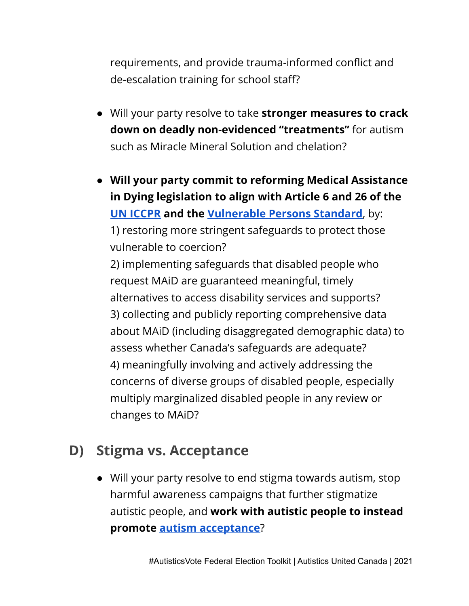requirements, and provide trauma-informed conflict and de-escalation training for school staff?

- Will your party resolve to take **stronger measures to crack down on deadly non-evidenced "treatments"** for autism such as Miracle Mineral Solution and chelation?
- **Will your party commit to reforming Medical Assistance in Dying legislation to align with Article 6 and 26 of the UN [ICCPR](https://www.ohchr.org/en/professionalinterest/pages/ccpr.aspx) and the [Vulnerable](http://www.vps-npv.ca/) Persons Standard**, by: 1) restoring more stringent safeguards to protect those vulnerable to coercion? 2) implementing safeguards that disabled people who request MAiD are guaranteed meaningful, timely

alternatives to access disability services and supports? 3) collecting and publicly reporting comprehensive data about MAiD (including disaggregated demographic data) to assess whether Canada's safeguards are adequate? 4) meaningfully involving and actively addressing the concerns of diverse groups of disabled people, especially multiply marginalized disabled people in any review or changes to MAiD?

#### **D) Stigma vs. Acceptance**

● Will your party resolve to end stigma towards autism, stop harmful awareness campaigns that further stigmatize autistic people, and **work with autistic people to instead promote autism [acceptance](https://autisticadvocacy.org/2012/04/acceptance-vs-awareness/)**?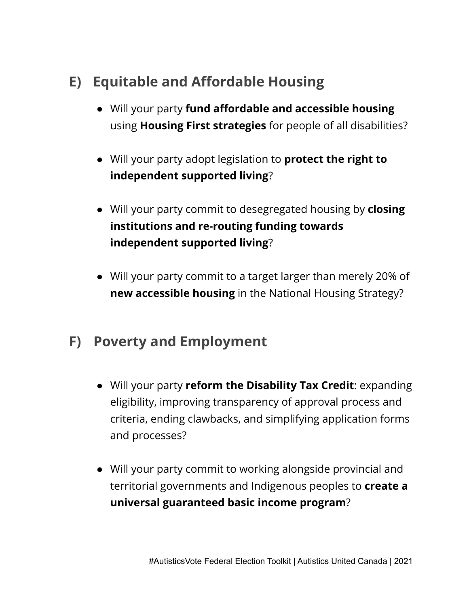- **E) Equitable and Affordable Housing**
	- Will your party **fund affordable and accessible housing** using **Housing First strategies** for people of all disabilities?
	- Will your party adopt legislation to **protect the right to independent supported living**?
	- Will your party commit to desegregated housing by **closing institutions and re-routing funding towards independent supported living**?
	- Will your party commit to a target larger than merely 20% of **new accessible housing** in the National Housing Strategy?

## **F) Poverty and Employment**

- Will your party **reform the Disability Tax Credit**: expanding eligibility, improving transparency of approval process and criteria, ending clawbacks, and simplifying application forms and processes?
- Will your party commit to working alongside provincial and territorial governments and Indigenous peoples to **create a universal guaranteed basic income program**?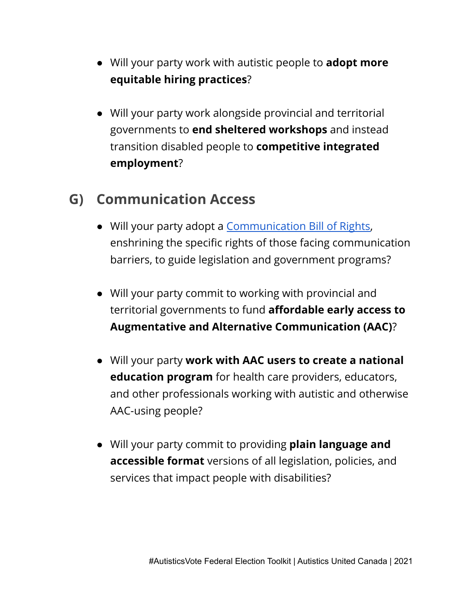- Will your party work with autistic people to **adopt more equitable hiring practices**?
- Will your party work alongside provincial and territorial governments to **end sheltered workshops** and instead transition disabled people to **competitive integrated employment**?

## **G) Communication Access**

- Will your party adopt a [Communication](https://www.asha.org/njc/communication-bill-of-rights/) Bill of Rights, enshrining the specific rights of those facing communication barriers, to guide legislation and government programs?
- Will your party commit to working with provincial and territorial governments to fund **affordable early access to Augmentative and Alternative Communication (AAC)**?
- Will your party **work with AAC users to create a national education program** for health care providers, educators, and other professionals working with autistic and otherwise AAC-using people?
- Will your party commit to providing **plain language and accessible format** versions of all legislation, policies, and services that impact people with disabilities?